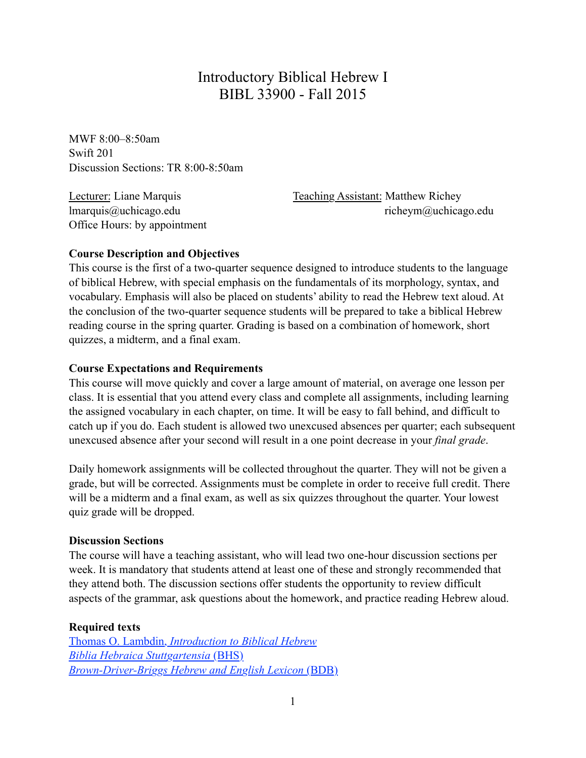# Introductory Biblical Hebrew I BIBL 33900 - Fall 2015

MWF 8:00–8:50am Swift 201 Discussion Sections: TR 8:00-8:50am

Office Hours: by appointment

Lecturer: Liane Marquis Teaching Assistant: Matthew Richey lmarquis@uchicago.edu richeym@uchicago.edu

### **Course Description and Objectives**

This course is the first of a two-quarter sequence designed to introduce students to the language of biblical Hebrew, with special emphasis on the fundamentals of its morphology, syntax, and vocabulary. Emphasis will also be placed on students' ability to read the Hebrew text aloud. At the conclusion of the two-quarter sequence students will be prepared to take a biblical Hebrew reading course in the spring quarter. Grading is based on a combination of homework, short quizzes, a midterm, and a final exam.

#### **Course Expectations and Requirements**

This course will move quickly and cover a large amount of material, on average one lesson per class. It is essential that you attend every class and complete all assignments, including learning the assigned vocabulary in each chapter, on time. It will be easy to fall behind, and difficult to catch up if you do. Each student is allowed two unexcused absences per quarter; each subsequent unexcused absence after your second will result in a one point decrease in your *final grade*.

Daily homework assignments will be collected throughout the quarter. They will not be given a grade, but will be corrected. Assignments must be complete in order to receive full credit. There will be a midterm and a final exam, as well as six quizzes throughout the quarter. Your lowest quiz grade will be dropped.

#### **Discussion Sections**

The course will have a teaching assistant, who will lead two one-hour discussion sections per week. It is mandatory that students attend at least one of these and strongly recommended that they attend both. The discussion sections offer students the opportunity to review difficult aspects of the grammar, ask questions about the homework, and practice reading Hebrew aloud.

#### **Required texts**

Thomas O. Lambdin, *[Introduction to Biblical Hebrew](http://www.amazon.com/Introduction-Biblical-Hebrew-Thomas-Lambdin/dp/0232513694/ref=sr_1_1?ie=UTF8&qid=1440700629&sr=8-1&keywords=lambdin+biblical+hebrew) [Biblia Hebraica Stuttgartensia](http://www.amazon.com/Biblia-Hebraica-Stuttgartensia-Hebrew-Elliger/dp/1598561634/ref=sr_1_2?ie=UTF8&qid=1440700645&sr=8-2&keywords=bhs)* (BHS) *[Brown-Driver-Briggs Hebrew and English Lexicon](http://www.amazon.com/Brown-Driver-Briggs-Hebrew-English-Lexicon/dp/1565632060/ref=sr_1_1?ie=UTF8&qid=1440700663&sr=8-1&keywords=bdb)* (BDB)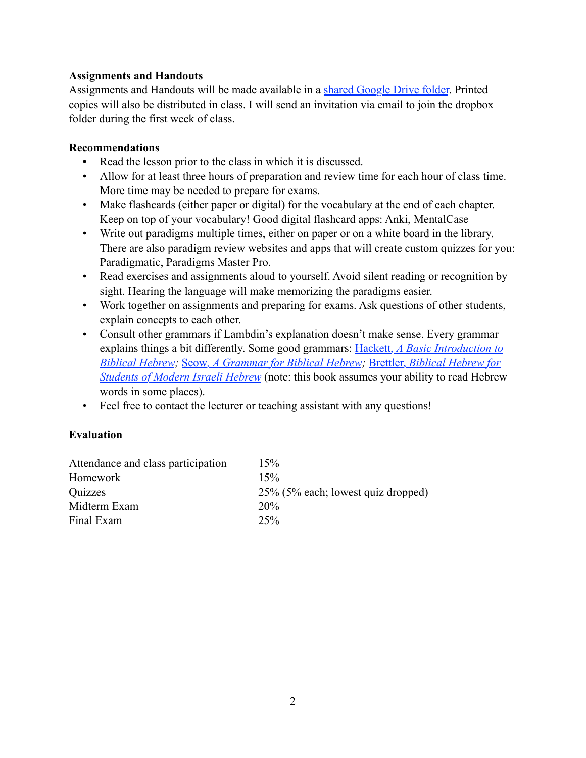### **Assignments and Handouts**

Assignments and Handouts will be made available in a [shared Google Drive folder](https://drive.google.com/a/uchicago.edu/folderview?id=0ByPNpqjZD_-gUDFBVmk4NzFZXzA&usp=sharing). Printed copies will also be distributed in class. I will send an invitation via email to join the dropbox folder during the first week of class.

### **Recommendations**

- **•** Read the lesson prior to the class in which it is discussed.
- Allow for at least three hours of preparation and review time for each hour of class time. More time may be needed to prepare for exams.
- Make flashcards (either paper or digital) for the vocabulary at the end of each chapter. Keep on top of your vocabulary! Good digital flashcard apps: Anki, MentalCase
- Write out paradigms multiple times, either on paper or on a white board in the library. There are also paradigm review websites and apps that will create custom quizzes for you: Paradigmatic, Paradigms Master Pro.
- Read exercises and assignments aloud to yourself. Avoid silent reading or recognition by sight. Hearing the language will make memorizing the paradigms easier.
- Work together on assignments and preparing for exams. Ask questions of other students, explain concepts to each other.
- Consult other grammars if Lambdin's explanation doesn't make sense. Every grammar explains things a bit differently. Some good grammars: Hackett, *[A Basic Introduction to](http://www.amazon.com/Basic-Introduction-Biblical-Hebrew-CDROM/dp/159856028X/ref=sr_1_1?ie=UTF8&qid=1440700170&sr=8-1&keywords=hackett+biblical+hebrew)  [Biblical Hebrew;](http://www.amazon.com/Basic-Introduction-Biblical-Hebrew-CDROM/dp/159856028X/ref=sr_1_1?ie=UTF8&qid=1440700170&sr=8-1&keywords=hackett+biblical+hebrew)* Seow*[, A Grammar for Biblical Hebrew](http://www.amazon.com/Grammar-Biblical-Hebrew-Revised/dp/0687157862/ref=sr_1_1?ie=UTF8&qid=1440700288&sr=8-1&keywords=seow+biblical+hebrew);* Brettler, *[Biblical Hebrew for](http://www.amazon.com/Biblical-Hebrew-Students-Modern-Israeli/dp/0300084404/ref=sr_1_sc_1?ie=UTF8&qid=1440700553&sr=8-1-spell&keywords=brettler+biblial+hebrew)  [Students of Modern Israeli Hebrew](http://www.amazon.com/Biblical-Hebrew-Students-Modern-Israeli/dp/0300084404/ref=sr_1_sc_1?ie=UTF8&qid=1440700553&sr=8-1-spell&keywords=brettler+biblial+hebrew)* (note: this book assumes your ability to read Hebrew words in some places).
- Feel free to contact the lecturer or teaching assistant with any questions!

### **Evaluation**

| 15%                                |
|------------------------------------|
| 15%                                |
| 25% (5% each; lowest quiz dropped) |
| 20%                                |
| 25%                                |
|                                    |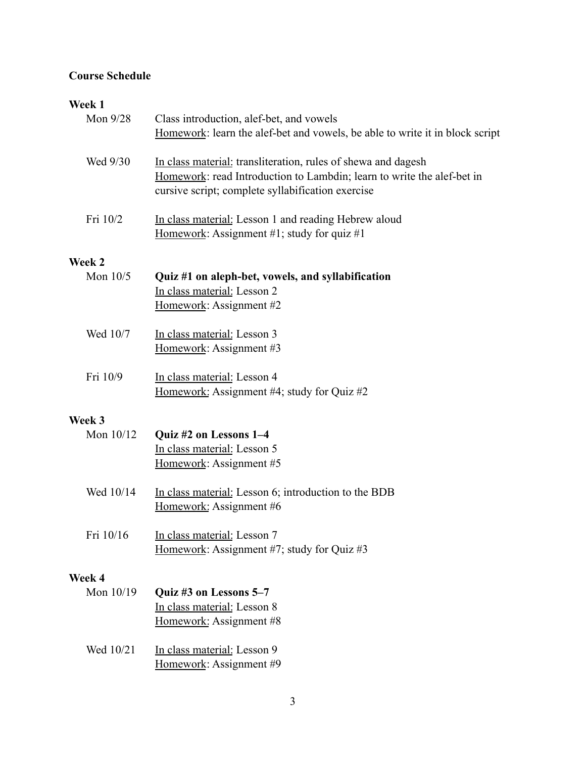## **Course Schedule**

# **Week 1**

| VVCCN 1<br>Mon $9/28$ | Class introduction, alef-bet, and vowels<br>Homework: learn the alef-bet and vowels, be able to write it in block script                                                                     |
|-----------------------|----------------------------------------------------------------------------------------------------------------------------------------------------------------------------------------------|
| Wed 9/30              | In class material: transliteration, rules of shewa and dagesh<br>Homework: read Introduction to Lambdin; learn to write the alef-bet in<br>cursive script; complete syllabification exercise |
| Fri 10/2              | In class material: Lesson 1 and reading Hebrew aloud<br>Homework: Assignment #1; study for quiz #1                                                                                           |
| Week 2                |                                                                                                                                                                                              |
| Mon $10/5$            | Quiz #1 on aleph-bet, vowels, and syllabification<br>In class material: Lesson 2<br>Homework: Assignment #2                                                                                  |
| Wed 10/7              | In class material: Lesson 3<br>Homework: Assignment #3                                                                                                                                       |
| Fri 10/9              | In class material: Lesson 4<br>Homework: Assignment #4; study for Quiz #2                                                                                                                    |
| Week 3                |                                                                                                                                                                                              |
| Mon 10/12             | Quiz #2 on Lessons 1-4<br>In class material: Lesson 5<br>Homework: Assignment #5                                                                                                             |
| Wed 10/14             | In class material: Lesson 6; introduction to the BDB<br>Homework: Assignment #6                                                                                                              |
| Fri 10/16             | In class material: Lesson 7<br>Homework: Assignment #7; study for Quiz #3                                                                                                                    |
| Week 4                |                                                                                                                                                                                              |
| Mon 10/19             | Quiz #3 on Lessons 5-7<br>In class material: Lesson 8<br>Homework: Assignment #8                                                                                                             |
| Wed 10/21             | In class material: Lesson 9<br>Homework: Assignment #9                                                                                                                                       |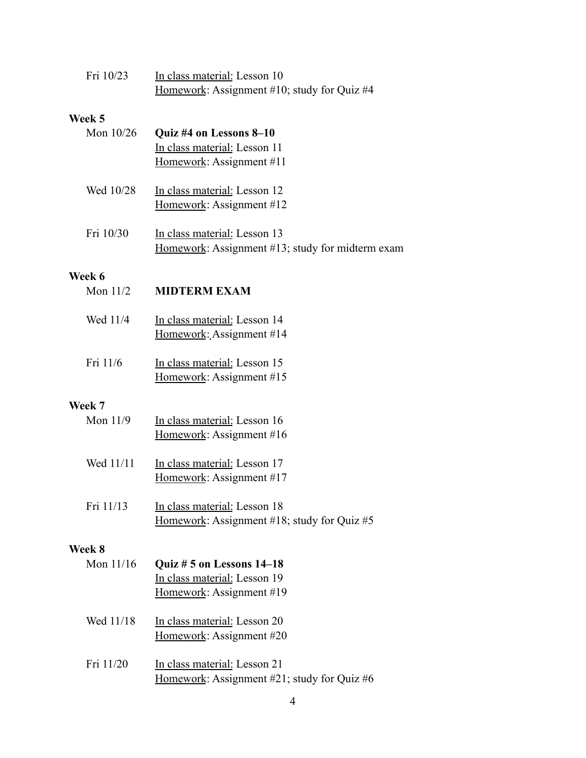| Fri 10/23 | In class material: Lesson 10                |
|-----------|---------------------------------------------|
|           | Homework: Assignment #10; study for Quiz #4 |

## **Week 5**

| Mon 10/26            | Quiz #4 on Lessons 8-10<br>In class material: Lesson 11<br>Homework: Assignment #11 |
|----------------------|-------------------------------------------------------------------------------------|
| Wed 10/28            | In class material: Lesson 12<br>Homework: Assignment #12                            |
| Fri 10/30            | In class material: Lesson 13<br>Homework: Assignment #13; study for midterm exam    |
| Week 6               |                                                                                     |
| Mon $11/2$           | <b>MIDTERM EXAM</b>                                                                 |
| Wed 11/4             | In class material: Lesson 14<br>Homework: Assignment #14                            |
| Fri 11/6             | In class material: Lesson 15<br>Homework: Assignment #15                            |
|                      |                                                                                     |
| Week 7<br>Mon $11/9$ | In class material: Lesson 16<br>Homework: Assignment #16                            |
| Wed 11/11            | In class material: Lesson 17<br>Homework: Assignment #17                            |
| Fri 11/13            | In class material: Lesson 18<br>Homework: Assignment #18; study for Quiz #5         |

# **Week 8**

| Mon $11/16$ | Quiz # 5 on Lessons 14-18<br>In class material: Lesson 19<br>Homework: Assignment #19 |
|-------------|---------------------------------------------------------------------------------------|
| Wed 11/18   | In class material: Lesson 20<br>Homework: Assignment #20                              |
| Fri 11/20   | In class material: Lesson 21<br>Homework: Assignment #21; study for Quiz #6           |